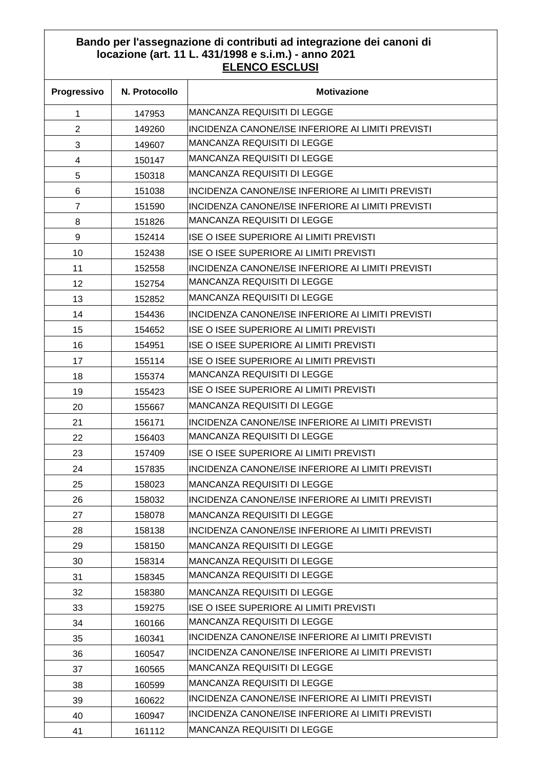## **Bando per l'assegnazione di contributi ad integrazione dei canoni di locazione (art. 11 L. 431/1998 e s.i.m.) - anno 2021 ELENCO ESCLUSI**

| Progressivo    | N. Protocollo | <b>Motivazione</b>                                |
|----------------|---------------|---------------------------------------------------|
| 1              | 147953        | MANCANZA REQUISITI DI LEGGE                       |
| $\overline{2}$ | 149260        | INCIDENZA CANONE/ISE INFERIORE AI LIMITI PREVISTI |
| 3              | 149607        | <b>MANCANZA REQUISITI DI LEGGE</b>                |
| 4              | 150147        | MANCANZA REQUISITI DI LEGGE                       |
| 5              | 150318        | MANCANZA REQUISITI DI LEGGE                       |
| 6              | 151038        | INCIDENZA CANONE/ISE INFERIORE AI LIMITI PREVISTI |
| $\overline{7}$ | 151590        | INCIDENZA CANONE/ISE INFERIORE AI LIMITI PREVISTI |
| 8              | 151826        | MANCANZA REQUISITI DI LEGGE                       |
| 9              | 152414        | ISE O ISEE SUPERIORE AI LIMITI PREVISTI           |
| 10             | 152438        | ISE O ISEE SUPERIORE AI LIMITI PREVISTI           |
| 11             | 152558        | INCIDENZA CANONE/ISE INFERIORE AI LIMITI PREVISTI |
| 12             | 152754        | <b>MANCANZA REQUISITI DI LEGGE</b>                |
| 13             | 152852        | MANCANZA REQUISITI DI LEGGE                       |
| 14             | 154436        | INCIDENZA CANONE/ISE INFERIORE AI LIMITI PREVISTI |
| 15             | 154652        | ISE O ISEE SUPERIORE AI LIMITI PREVISTI           |
| 16             | 154951        | ISE O ISEE SUPERIORE AI LIMITI PREVISTI           |
| 17             | 155114        | ISE O ISEE SUPERIORE AI LIMITI PREVISTI           |
| 18             | 155374        | <b>MANCANZA REQUISITI DI LEGGE</b>                |
| 19             | 155423        | ISE O ISEE SUPERIORE AI LIMITI PREVISTI           |
| 20             | 155667        | MANCANZA REQUISITI DI LEGGE                       |
| 21             | 156171        | INCIDENZA CANONE/ISE INFERIORE AI LIMITI PREVISTI |
| 22             | 156403        | MANCANZA REQUISITI DI LEGGE                       |
| 23             | 157409        | ISE O ISEE SUPERIORE AI LIMITI PREVISTI           |
| 24             | 157835        | INCIDENZA CANONE/ISE INFERIORE AI LIMITI PREVISTI |
| 25             | 158023        | MANCANZA REQUISITI DI LEGGE                       |
| 26             | 158032        | INCIDENZA CANONE/ISE INFERIORE AI LIMITI PREVISTI |
| 27             | 158078        | MANCANZA REQUISITI DI LEGGE                       |
| 28             | 158138        | INCIDENZA CANONE/ISE INFERIORE AI LIMITI PREVISTI |
| 29             | 158150        | MANCANZA REQUISITI DI LEGGE                       |
| 30             | 158314        | MANCANZA REQUISITI DI LEGGE                       |
| 31             | 158345        | MANCANZA REQUISITI DI LEGGE                       |
| 32             | 158380        | <b>MANCANZA REQUISITI DI LEGGE</b>                |
| 33             | 159275        | ISE O ISEE SUPERIORE AI LIMITI PREVISTI           |
| 34             | 160166        | MANCANZA REQUISITI DI LEGGE                       |
| 35             | 160341        | INCIDENZA CANONE/ISE INFERIORE AI LIMITI PREVISTI |
| 36             | 160547        | INCIDENZA CANONE/ISE INFERIORE AI LIMITI PREVISTI |
| 37             | 160565        | MANCANZA REQUISITI DI LEGGE                       |
| 38             | 160599        | MANCANZA REQUISITI DI LEGGE                       |
| 39             | 160622        | INCIDENZA CANONE/ISE INFERIORE AI LIMITI PREVISTI |
| 40             | 160947        | INCIDENZA CANONE/ISE INFERIORE AI LIMITI PREVISTI |
| 41             | 161112        | <b>MANCANZA REQUISITI DI LEGGE</b>                |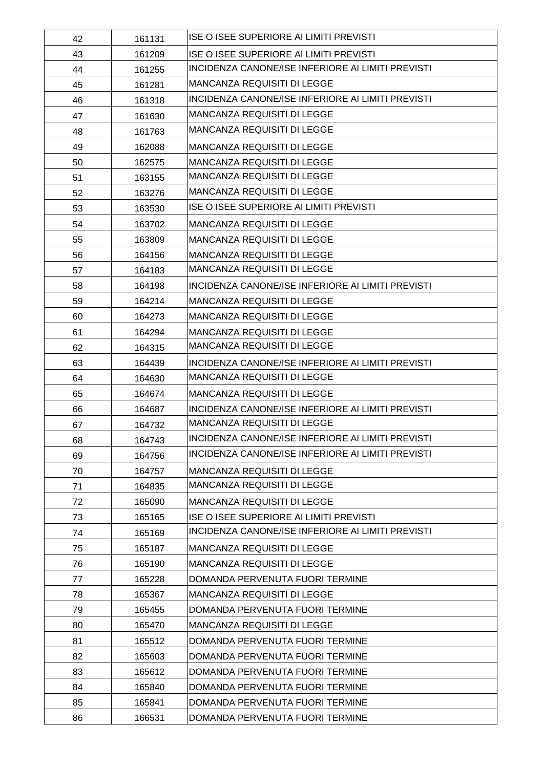| 42 | 161131 | <b>ISE O ISEE SUPERIORE AI LIMITI PREVISTI</b>    |
|----|--------|---------------------------------------------------|
| 43 | 161209 | <b>ISE O ISEE SUPERIORE AI LIMITI PREVISTI</b>    |
| 44 | 161255 | INCIDENZA CANONE/ISE INFERIORE AI LIMITI PREVISTI |
| 45 | 161281 | <b>MANCANZA REQUISITI DI LEGGE</b>                |
| 46 | 161318 | INCIDENZA CANONE/ISE INFERIORE AI LIMITI PREVISTI |
| 47 | 161630 | <b>MANCANZA REQUISITI DI LEGGE</b>                |
| 48 | 161763 | <b>MANCANZA REQUISITI DI LEGGE</b>                |
| 49 | 162088 | <b>MANCANZA REQUISITI DI LEGGE</b>                |
| 50 | 162575 | <b>MANCANZA REQUISITI DI LEGGE</b>                |
| 51 | 163155 | MANCANZA REQUISITI DI LEGGE                       |
| 52 | 163276 | <b>MANCANZA REQUISITI DI LEGGE</b>                |
| 53 | 163530 | <b>ISE O ISEE SUPERIORE AI LIMITI PREVISTI</b>    |
| 54 | 163702 | <b>MANCANZA REQUISITI DI LEGGE</b>                |
| 55 | 163809 | <b>MANCANZA REQUISITI DI LEGGE</b>                |
| 56 | 164156 | <b>MANCANZA REQUISITI DI LEGGE</b>                |
| 57 | 164183 | <b>MANCANZA REQUISITI DI LEGGE</b>                |
| 58 | 164198 | INCIDENZA CANONE/ISE INFERIORE AI LIMITI PREVISTI |
| 59 | 164214 | <b>MANCANZA REQUISITI DI LEGGE</b>                |
| 60 | 164273 | <b>MANCANZA REQUISITI DI LEGGE</b>                |
| 61 | 164294 | <b>MANCANZA REQUISITI DI LEGGE</b>                |
| 62 | 164315 | MANCANZA REQUISITI DI LEGGE                       |
| 63 | 164439 | INCIDENZA CANONE/ISE INFERIORE AI LIMITI PREVISTI |
| 64 | 164630 | <b>MANCANZA REQUISITI DI LEGGE</b>                |
| 65 | 164674 | <b>MANCANZA REQUISITI DI LEGGE</b>                |
| 66 | 164687 | INCIDENZA CANONE/ISE INFERIORE AI LIMITI PREVISTI |
| 67 | 164732 | <b>MANCANZA REQUISITI DI LEGGE</b>                |
| 68 | 164743 | INCIDENZA CANONE/ISE INFERIORE AI LIMITI PREVISTI |
| 69 | 164756 | INCIDENZA CANONE/ISE INFERIORE AI LIMITI PREVISTI |
| 70 | 164757 | <b>MANCANZA REQUISITI DI LEGGE</b>                |
| 71 | 164835 | <b>MANCANZA REQUISITI DI LEGGE</b>                |
| 72 | 165090 | <b>MANCANZA REQUISITI DI LEGGE</b>                |
| 73 | 165165 | <b>ISE O ISEE SUPERIORE AI LIMITI PREVISTI</b>    |
| 74 | 165169 | INCIDENZA CANONE/ISE INFERIORE AI LIMITI PREVISTI |
| 75 | 165187 | MANCANZA REQUISITI DI LEGGE                       |
| 76 | 165190 | <b>MANCANZA REQUISITI DI LEGGE</b>                |
| 77 | 165228 | DOMANDA PERVENUTA FUORI TERMINE                   |
| 78 | 165367 | <b>MANCANZA REQUISITI DI LEGGE</b>                |
| 79 | 165455 | DOMANDA PERVENUTA FUORI TERMINE                   |
| 80 | 165470 | <b>MANCANZA REQUISITI DI LEGGE</b>                |
| 81 | 165512 | DOMANDA PERVENUTA FUORI TERMINE                   |
| 82 | 165603 | DOMANDA PERVENUTA FUORI TERMINE                   |
| 83 | 165612 | DOMANDA PERVENUTA FUORI TERMINE                   |
| 84 | 165840 | DOMANDA PERVENUTA FUORI TERMINE                   |
| 85 | 165841 | DOMANDA PERVENUTA FUORI TERMINE                   |
| 86 | 166531 | DOMANDA PERVENUTA FUORI TERMINE                   |